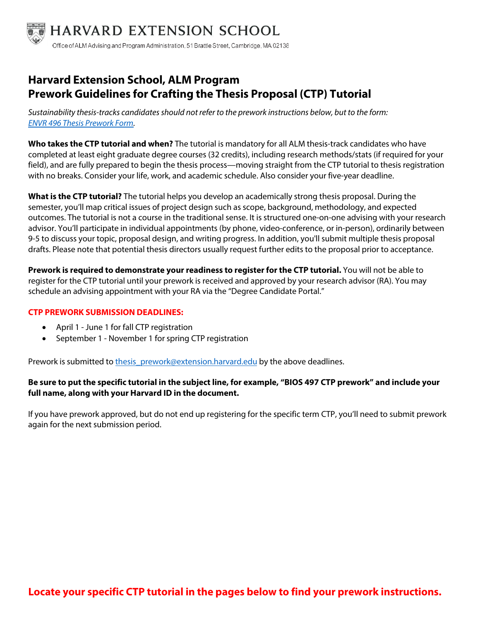

# **Harvard Extension School, ALM Program Prework Guidelines for Crafting the Thesis Proposal (CTP) Tutorial**

Sustainability thesis-tracks candidates should not refer to the prework instructions below, but to the form: ENVR 496 [Thesis Prework Form.](https://extension.harvard.edu/wp-content/uploads/sites/8/2021/06/envr_496_prework.pdf) 

**Who takes the CTP tutorial and when?** The tutorial is mandatory for all ALM thesis-track candidates who have completed at least eight graduate degree courses (32 credits), including research methods/stats (if required for your field), and are fully prepared to begin the thesis process—moving straight from the CTP tutorial to thesis registration with no breaks. Consider your life, work, and academic schedule. Also consider your five-year deadline.

**What is the CTP tutorial?** The tutorial helps you develop an academically strong thesis proposal. During the semester, you'll map critical issues of project design such as scope, background, methodology, and expected outcomes. The tutorial is not a course in the traditional sense. It is structured one-on-one advising with your research advisor. You'll participate in individual appointments (by phone, video-conference, or in-person), ordinarily between 9-5 to discuss your topic, proposal design, and writing progress. In addition, you'll submit multiple thesis proposal drafts. Please note that potential thesis directors usually request further edits to the proposal prior to acceptance.

**Prework is required to demonstrate your readiness to register for the CTP tutorial.** You will not be able to register for the CTP tutorial until your prework is received and approved by your research advisor (RA). You may schedule an advising appointment with your RA via the "Degree Candidate Portal."

#### **CTP PREWORK SUBMISSION DEADLINES:**

- April 1 June 1 for fall CTP registration
- September 1 November 1 for spring CTP registration

Prework is submitted to thesis prework@extension.harvard.edu by the above deadlines.

#### **Be sure to put the specific tutorial in the subject line, for example, "BIOS 497 CTP prework" and include your full name, along with your Harvard ID in the document.**

If you have prework approved, but do not end up registering for the specific term CTP, you'll need to submit prework again for the next submission period.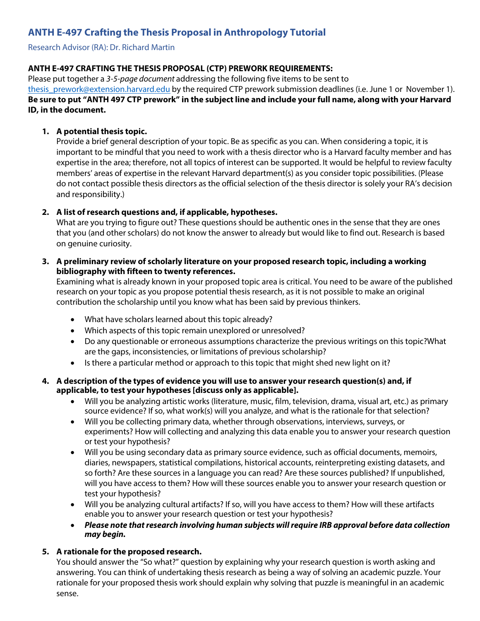# **ANTH E-497 Crafting the Thesis Proposal in Anthropology Tutorial**

Research Advisor (RA): Dr. Richard Martin

# **ANTH E-497 CRAFTING THE THESIS PROPOSAL (CTP) PREWORK REQUIREMENTS:**

Please put together a 3-5-page document addressing the following five items to be sent to

[thesis\\_prework@extension.harvard.edu](mailto: thesis_prework@extension.harvard.edu) by the required CTP prework submission deadlines (i.e. June 1 or November 1). **Be sure to put "ANTH 497 CTP prework" in the subject line and include your full name, along with your Harvard ID, in the document.** 

#### **1. A potential thesis topic.**

Provide a brief general description of your topic. Be as specific as you can. When considering a topic, it is important to be mindful that you need to work with a thesis director who is a Harvard faculty member and has expertise in the area; therefore, not all topics of interest can be supported. It would be helpful to review faculty members' areas of expertise in the relevant Harvard department(s) as you consider topic possibilities. (Please do not contact possible thesis directors as the official selection of the thesis director is solely your RA's decision and responsibility.)

#### **2. A list of research questions and, if applicable, hypotheses.**

What are you trying to figure out? These questions should be authentic ones in the sense that they are ones that you (and other scholars) do not know the answer to already but would like to find out. Research is based on genuine curiosity.

#### **3. A preliminary review of scholarly literature on your proposed research topic, including a working bibliography with fifteen to twenty references.**

Examining what is already known in your proposed topic area is critical. You need to be aware of the published research on your topic as you propose potential thesis research, as it is not possible to make an original contribution the scholarship until you know what has been said by previous thinkers.

- What have scholars learned about this topic already?
- Which aspects of this topic remain unexplored or unresolved?
- Do any questionable or erroneous assumptions characterize the previous writings on this topic?What are the gaps, inconsistencies, or limitations of previous scholarship?
- Is there a particular method or approach to this topic that might shed new light on it?

#### **4. A description of the types of evidence you will use to answer your research question(s) and, if applicable, to test your hypotheses [discuss only as applicable].**

- Will you be analyzing artistic works (literature, music, film, television, drama, visual art, etc.) as primary source evidence? If so, what work(s) will you analyze, and what is the rationale for that selection?
- Will you be collecting primary data, whether through observations, interviews, surveys, or experiments? How will collecting and analyzing this data enable you to answer your research question or test your hypothesis?
- Will you be using secondary data as primary source evidence, such as official documents, memoirs, diaries, newspapers, statistical compilations, historical accounts, reinterpreting existing datasets, and so forth? Are these sources in a language you can read? Are these sources published? If unpublished, will you have access to them? How will these sources enable you to answer your research question or test your hypothesis?
- Will you be analyzing cultural artifacts? If so, will you have access to them? How will these artifacts enable you to answer your research question or test your hypothesis?
- **Please note thatresearch involving human subjects willrequire IRB approval before data collection may begin.**

#### **5. A rationale for the proposed research.**

You should answer the "So what?" question by explaining why your research question is worth asking and answering. You can think of undertaking thesis research as being a way of solving an academic puzzle. Your rationale for your proposed thesis work should explain why solving that puzzle is meaningful in an academic sense.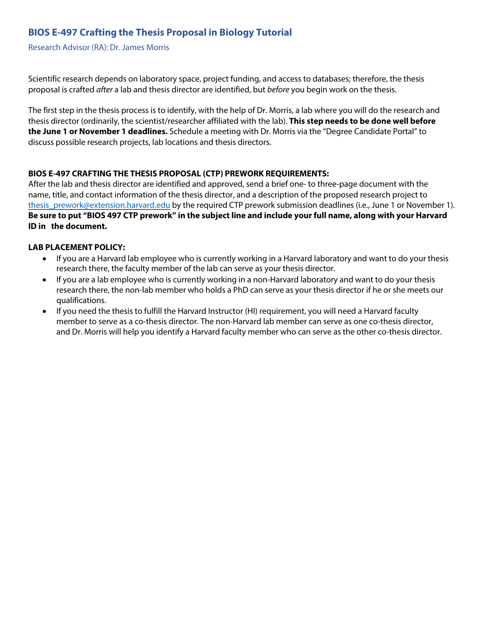# **BIOS E-497 Crafting the Thesis Proposal in Biology Tutorial**

Research Advisor (RA): Dr. James Morris

Scientific research depends on laboratory space, project funding, and access to databases; therefore, the thesis proposal is crafted after a lab and thesis director are identified, but before you begin work on the thesis.

The first step in the thesis process is to identify, with the help of Dr. Morris, a lab where you will do the research and thesis director (ordinarily, the scientist/researcher affiliated with the lab). **This step needs to be done well before the June 1 or November 1 deadlines.** Schedule a meeting with Dr. Morris via the "Degree Candidate Portal" to discuss possible research projects, lab locations and thesis directors.

#### **BIOS E-497 CRAFTING THE THESIS PROPOSAL (CTP) PREWORK REQUIREMENTS:**

After the lab and thesis director are identified and approved, send a brief one- to three-page document with the name, title, and contact information of the thesis director, and a description of the proposed research project to thesis prework@extension.harvard.edu by the required CTP prework submission deadlines (i.e., June 1 or November 1). **Be sure to put "BIOS 497 CTP prework" in the subject line and include your full name, along with your Harvard ID in the document.** 

#### **LAB PLACEMENT POLICY:**

- If you are a Harvard lab employee who is currently working in a Harvard laboratory and want to do your thesis research there, the faculty member of the lab can serve as your thesis director.
- If you are a lab employee who is currently working in a non-Harvard laboratory and want to do your thesis research there, the non-lab member who holds a PhD can serve as your thesis director if he or she meets our qualifications.
- If you need the thesis to fulfill the Harvard Instructor (HI) requirement, you will need a Harvard faculty member to serve as a co-thesis director. The non-Harvard lab member can serve as one co-thesis director, and Dr. Morris will help you identify a Harvard faculty member who can serve as the other co-thesis director.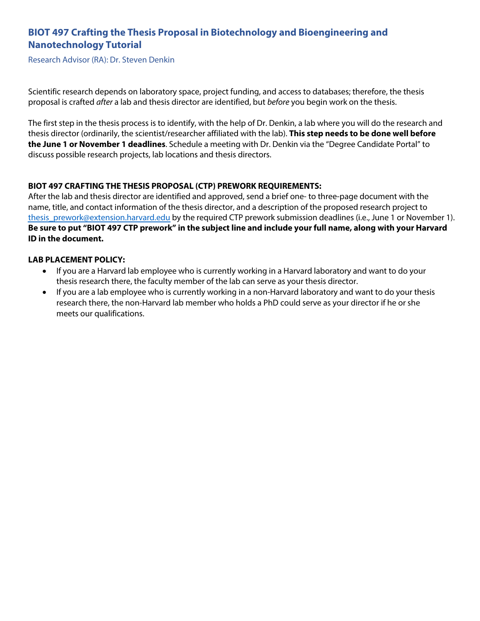# **BIOT 497 Crafting the Thesis Proposal in Biotechnology and Bioengineering and Nanotechnology Tutorial**

Research Advisor (RA): Dr. Steven Denkin

Scientific research depends on laboratory space, project funding, and access to databases; therefore, the thesis proposal is crafted after a lab and thesis director are identified, but before you begin work on the thesis.

The first step in the thesis process is to identify, with the help of Dr. Denkin, a lab where you will do the research and thesis director (ordinarily, the scientist/researcher affiliated with the lab). **This step needs to be done well before the June 1 or November 1 deadlines**. Schedule a meeting with Dr. Denkin via the "Degree Candidate Portal" to discuss possible research projects, lab locations and thesis directors.

# **BIOT 497 CRAFTING THE THESIS PROPOSAL (CTP) PREWORK REQUIREMENTS:**

After the lab and thesis director are identified and approved, send a brief one- to three-page document with the name, title, and contact information of the thesis director, and a description of the proposed research project to [thesis\\_prework@extension.harvard.edu](mailto: thesis_prework@extension.harvard.edu) by the required CTP prework submission deadlines (i.e., June 1 or November 1). **Be sure to put "BIOT 497 CTP prework" in the subject line and include your full name, along with your Harvard ID in the document.** 

#### **LAB PLACEMENT POLICY:**

- If you are a Harvard lab employee who is currently working in a Harvard laboratory and want to do your thesis research there, the faculty member of the lab can serve as your thesis director.
- If you are a lab employee who is currently working in a non-Harvard laboratory and want to do your thesis research there, the non-Harvard lab member who holds a PhD could serve as your director if he or she meets our qualifications.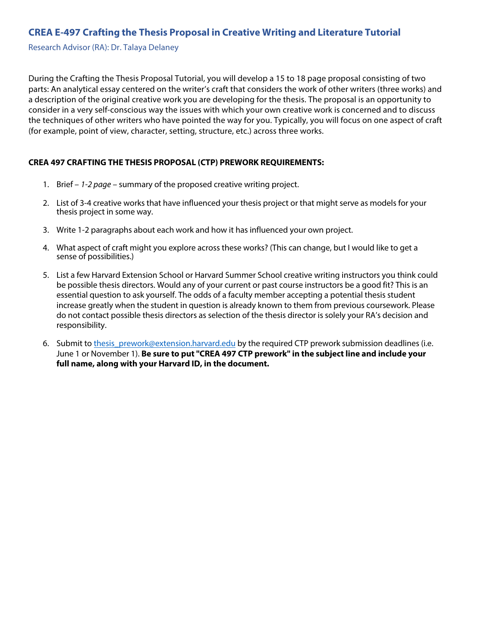# **CREA E-497 Crafting the Thesis Proposal in Creative Writing and Literature Tutorial**

Research Advisor (RA): Dr. Talaya Delaney

During the Crafting the Thesis Proposal Tutorial, you will develop a 15 to 18 page proposal consisting of two parts: An analytical essay centered on the writer's craft that considers the work of other writers (three works) and a description of the original creative work you are developing for the thesis. The proposal is an opportunity to consider in a very self-conscious way the issues with which your own creative work is concerned and to discuss the techniques of other writers who have pointed the way for you. Typically, you will focus on one aspect of craft (for example, point of view, character, setting, structure, etc.) across three works.

#### **CREA 497 CRAFTING THE THESIS PROPOSAL (CTP) PREWORK REQUIREMENTS:**

- 1. Brief  $-1$ -2 page summary of the proposed creative writing project.
- 2. List of 3-4 creative works that have influenced your thesis project or that might serve as models for your thesis project in some way.
- 3. Write 1-2 paragraphs about each work and how it has influenced your own project.
- 4. What aspect of craft might you explore across these works? (This can change, but I would like to get a sense of possibilities.)
- 5. List a few Harvard Extension School or Harvard Summer School creative writing instructors you think could be possible thesis directors. Would any of your current or past course instructors be a good fit? This is an essential question to ask yourself. The odds of a faculty member accepting a potential thesis student increase greatly when the student in question is already known to them from previous coursework. Please do not contact possible thesis directors as selection of the thesis director is solely your RA's decision and responsibility.
- 6. Submit to thesis prework@extension.harvard.edu by the required CTP prework submission deadlines (i.e. June 1 or November 1). **Be sure to put "CREA 497 CTP prework" in the subject line and include your full name, along with your Harvard ID, in the document.**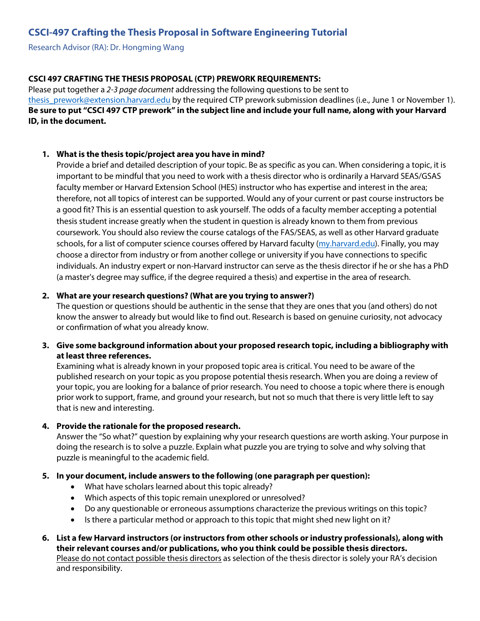# **CSCI-497 Crafting the Thesis Proposal in Software Engineering Tutorial**

Research Advisor (RA): Dr. Hongming Wang

# **CSCI 497 CRAFTING THE THESIS PROPOSAL (CTP) PREWORK REQUIREMENTS:**

Please put together a 2-3 page document addressing the following questions to be sent to thesis\_prework@extension.harvard.edu by the required CTP prework submission deadlines (i.e., June 1 or November 1). **[Be sure to](mailto: thesis_prework@extension.harvard.edu) put "CSCI 497 CTP prework" in the subject line and include your full name, along with your Harvard ID, in the document.** 

#### **1. What is the thesis topic/project area you have in mind?**

Provide a brief and detailed description of your topic. Be as specific as you can. When considering a topic, it is important to be mindful that you need to work with a thesis director who is ordinarily a Harvard SEAS/GSAS faculty member or Harvard Extension School (HES) instructor who has expertise and interest in the area; therefore, not all topics of interest can be supported. Would any of your current or past course instructors be a good fit? This is an essential question to ask yourself. The odds of a faculty member accepting a potential thesis student increase greatly when the student in question is already known to them from previous coursework. You should also review the course catalogs of the FAS/SEAS, as well as other Harvard graduate schools, for a list of computer science courses offered by Harvard faculty [\(my.harvard.edu\)](https://my.harvard.edu/). Finally, you may choose a director from industry or from another college or university if you have connections to specific individuals. An industry expert or non-Harvard instructor can serve as the thesis director if he or she has a PhD (a master's degree may suffice, if the degree required a thesis) and expertise in the area of research.

# **2. What are your research questions? (What are you trying to answer?)**

The question or questions should be authentic in the sense that they are ones that you (and others) do not know the answer to already but would like to find out. Research is based on genuine curiosity, not advocacy or confirmation of what you already know.

# **3. Give some background information about your proposed research topic, including a bibliography with at least three references.**

Examining what is already known in your proposed topic area is critical. You need to be aware of the published research on your topic as you propose potential thesis research. When you are doing a review of your topic, you are looking for a balance of prior research. You need to choose a topic where there is enough prior work to support, frame, and ground your research, but not so much that there is very little left to say that is new and interesting.

#### **4. Provide the rationale for the proposed research.**

Answer the "So what?" question by explaining why your research questions are worth asking. Your purpose in doing the research is to solve a puzzle. Explain what puzzle you are trying to solve and why solving that puzzle is meaningful to the academic field.

#### **5. In your document, include answers to the following (one paragraph per question):**

- What have scholars learned about this topic already?
- Which aspects of this topic remain unexplored or unresolved?
- Do any questionable or erroneous assumptions characterize the previous writings on this topic?
- Is there a particular method or approach to this topic that might shed new light on it?
- **6. List a few Harvard instructors (or instructors from other schools or industry professionals), along with their relevant courses and/or publications, who you think could be possible thesis directors.** Please do not contact possible thesis directors as selection of the thesis director is solely your RA's decision and responsibility.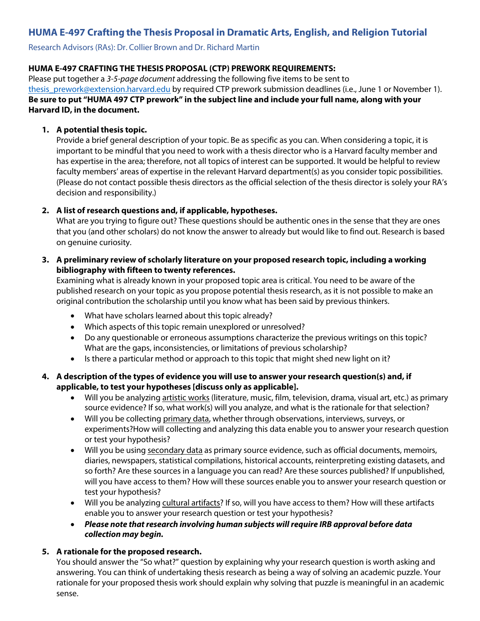# **HUMA E-497 Crafting the Thesis Proposal in Dramatic Arts, English, and Religion Tutorial**

Research Advisors (RAs): Dr. Collier Brown and Dr. Richard Martin

#### **HUMA E-497 CRAFTING THE THESIS PROPOSAL (CTP) PREWORK REQUIREMENTS:**

Please put together a 3-5-page document addressing the following five items to be sent to thesis prework@extension.harvard.edu by required CTP prework submission deadlines (i.e., June 1 or November 1). **Be sure to put "HUMA 497 CTP prework" in the subject line and include your full name, along with your Harvard ID, in the document.** 

#### **1. A potential thesis topic.**

Provide a brief general description of your topic. Be as specific as you can. When considering a topic, it is important to be mindful that you need to work with a thesis director who is a Harvard faculty member and has expertise in the area; therefore, not all topics of interest can be supported. It would be helpful to review faculty members' areas of expertise in the relevant Harvard department(s) as you consider topic possibilities. (Please do not contact possible thesis directors as the official selection of the thesis director is solely your RA's decision and responsibility.)

#### **2. A list of research questions and, if applicable, hypotheses.**

What are you trying to figure out? These questions should be authentic ones in the sense that they are ones that you (and other scholars) do not know the answer to already but would like to find out. Research is based on genuine curiosity.

#### **3. A preliminary review of scholarly literature on your proposed research topic, including a working bibliography with fifteen to twenty references.**

Examining what is already known in your proposed topic area is critical. You need to be aware of the published research on your topic as you propose potential thesis research, as it is not possible to make an original contribution the scholarship until you know what has been said by previous thinkers.

- What have scholars learned about this topic already?
- Which aspects of this topic remain unexplored or unresolved?
- Do any questionable or erroneous assumptions characterize the previous writings on this topic? What are the gaps, inconsistencies, or limitations of previous scholarship?
- Is there a particular method or approach to this topic that might shed new light on it?
- **4. A description of the types of evidence you will use to answer your research question(s) and, if applicable, to test your hypotheses [discuss only as applicable].**
	- Will you be analyzing artistic works (literature, music, film, television, drama, visual art, etc.) as primary source evidence? If so, what work(s) will you analyze, and what is the rationale for that selection?
	- Will you be collecting primary data, whether through observations, interviews, surveys, or experiments?How will collecting and analyzing this data enable you to answer your research question or test your hypothesis?
	- Will you be using secondary data as primary source evidence, such as official documents, memoirs, diaries, newspapers, statistical compilations, historical accounts, reinterpreting existing datasets, and so forth? Are these sources in a language you can read? Are these sources published? If unpublished, will you have access to them? How will these sources enable you to answer your research question or test your hypothesis?
	- Will you be analyzing cultural artifacts? If so, will you have access to them? How will these artifacts enable you to answer your research question or test your hypothesis?
	- **Please note thatresearch involving human subjects willrequire IRB approval before data collection may begin.**

#### **5. A rationale for the proposed research.**

You should answer the "So what?" question by explaining why your research question is worth asking and answering. You can think of undertaking thesis research as being a way of solving an academic puzzle. Your rationale for your proposed thesis work should explain why solving that puzzle is meaningful in an academic sense.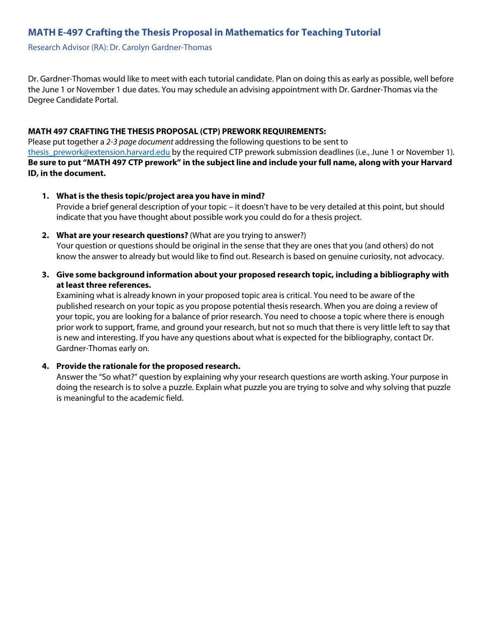# **MATH E-497 Crafting the Thesis Proposal in Mathematics for Teaching Tutorial**

Research Advisor (RA): Dr. Carolyn Gardner-Thomas

Dr. Gardner-Thomas would like to meet with each tutorial candidate. Plan on doing this as early as possible, well before the June 1 or November 1 due dates. You may schedule an advising appointment with Dr. Gardner-Thomas via the Degree Candidate Portal.

#### **MATH 497 CRAFTING THE THESIS PROPOSAL (CTP) PREWORK REQUIREMENTS:**

Please put together a 2-3 page document addressing the following questions to be sent to thesis prework@extension.harvard.edu by the required CTP prework submission deadlines (i.e., June 1 or November 1). **Be sure to put "MATH 497 CTP prework" in the subject line and include your full name, along with your Harvard ID, in the document.** 

**1. What is the thesis topic/project area you have in mind?**

Provide a brief general description of your topic – it doesn't have to be very detailed at this point, but should indicate that you have thought about possible work you could do for a thesis project.

**2. What are your research questions?** (What are you trying to answer?)

Your question or questions should be original in the sense that they are ones that you (and others) do not know the answer to already but would like to find out. Research is based on genuine curiosity, not advocacy.

**3. Give some background information about your proposed research topic, including a bibliography with at least three references.**

Examining what is already known in your proposed topic area is critical. You need to be aware of the published research on your topic as you propose potential thesis research. When you are doing a review of your topic, you are looking for a balance of prior research. You need to choose a topic where there is enough prior work to support, frame, and ground your research, but not so much that there is very little left to say that is new and interesting. If you have any questions about what is expected for the bibliography, contact Dr. Gardner-Thomas early on.

#### **4. Provide the rationale for the proposed research.**

Answer the "So what?" question by explaining why your research questions are worth asking. Your purpose in doing the research is to solve a puzzle. Explain what puzzle you are trying to solve and why solving that puzzle is meaningful to the academic field.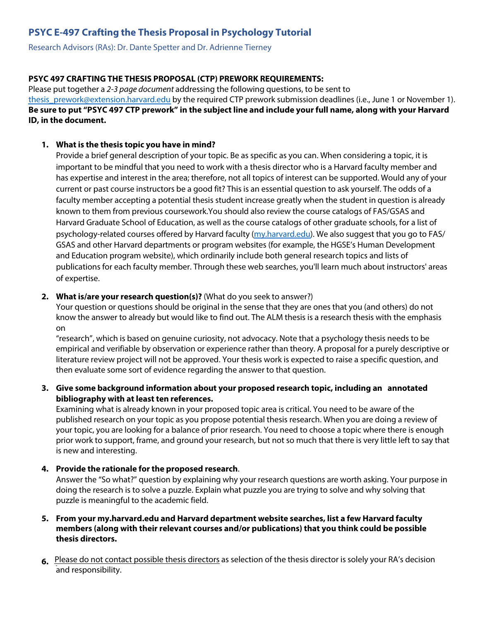# **PSYC E-497 Crafting the Thesis Proposal in Psychology Tutorial**

Research Advisors (RAs): Dr. Dante Spetter and Dr. Adrienne Tierney

# **PSYC 497 CRAFTING THE THESIS PROPOSAL (CTP) PREWORK REQUIREMENTS:**

Please put together a 2-3 page document addressing the following questions, to be sent to thesis prework@extension.harvard.edu by the required CTP prework submission deadlines (i.e., June 1 or November 1). **Be sure to put "PSYC 497 CTP prework" in the subject line and include your full name, along with your Harvard ID, in the document.** 

# **1. What is the thesis topic you have in mind?**

Provide a brief general description of your topic. Be as specific as you can. When considering a topic, it is important to be mindful that you need to work with a thesis director who is a Harvard faculty member and has expertise and interest in the area; therefore, not all topics of interest can be supported. Would any of your current or past course instructors be a good fit? This is an essential question to ask yourself. The odds of a faculty member accepting a potential thesis student increase greatly when the student in question is already known to them from previous coursework.You should also review the course catalogs of FAS/GSAS and Harvard Graduate School of Education, as well as the course catalogs of other graduate schools, for a list of psychology-related courses offered by Harvard faculty [\(my.harvard.edu\).](https://my.harvard.edu/) We also suggest that you go to FAS/ GSAS and other Harvard departments or program websites (for example, the HGSE's Human Development and Education program website), which ordinarily include both general research topics and lists of publications for each faculty member. Through these web searches, you'll learn much about instructors' areas of expertise.

# **2. What is/are your research question(s)?** (What do you seek to answer?)

Your question or questions should be original in the sense that they are ones that you (and others) do not know the answer to already but would like to find out. The ALM thesis is a research thesis with the emphasis on

"research", which is based on genuine curiosity, not advocacy. Note that a psychology thesis needs to be empirical and verifiable by observation or experience rather than theory. A proposal for a purely descriptive or literature review project will not be approved. Your thesis work is expected to raise a specific question, and then evaluate some sort of evidence regarding the answer to that question.

# **3. Give some background information about your proposed research topic, including an annotated bibliography with at least ten references.**

Examining what is already known in your proposed topic area is critical. You need to be aware of the published research on your topic as you propose potential thesis research. When you are doing a review of your topic, you are looking for a balance of prior research. You need to choose a topic where there is enough prior work to support, frame, and ground your research, but not so much that there is very little left to say that is new and interesting.

#### **4. Provide the rationale for the proposed research**.

Answer the "So what?" question by explaining why your research questions are worth asking. Your purpose in doing the research is to solve a puzzle. Explain what puzzle you are trying to solve and why solving that puzzle is meaningful to the academic field.

# **5. From your my.harvard.edu and Harvard department website searches, list a few Harvard faculty members (along with their relevant courses and/or publications) that you think could be possible thesis directors.**

**6.** Please do not contact possible thesis directors as selection of the thesis director is solely your RA's decision and responsibility.